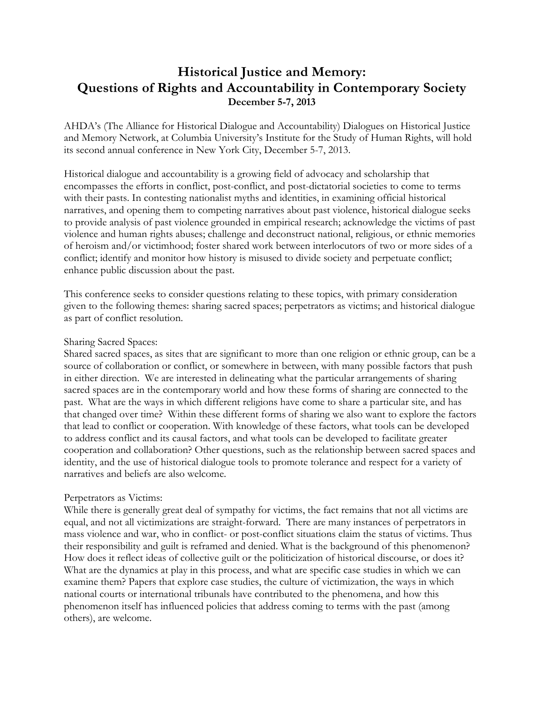## **Historical Justice and Memory: Questions of Rights and Accountability in Contemporary Society December 5-7, 2013**

AHDA's (The Alliance for Historical Dialogue and Accountability) Dialogues on Historical Justice and Memory Network, at Columbia University's Institute for the Study of Human Rights, will hold its second annual conference in New York City, December 5-7, 2013.

Historical dialogue and accountability is a growing field of advocacy and scholarship that encompasses the efforts in conflict, post-conflict, and post-dictatorial societies to come to terms with their pasts. In contesting nationalist myths and identities, in examining official historical narratives, and opening them to competing narratives about past violence, historical dialogue seeks to provide analysis of past violence grounded in empirical research; acknowledge the victims of past violence and human rights abuses; challenge and deconstruct national, religious, or ethnic memories of heroism and/or victimhood; foster shared work between interlocutors of two or more sides of a conflict; identify and monitor how history is misused to divide society and perpetuate conflict; enhance public discussion about the past.

This conference seeks to consider questions relating to these topics, with primary consideration given to the following themes: sharing sacred spaces; perpetrators as victims; and historical dialogue as part of conflict resolution.

## Sharing Sacred Spaces:

Shared sacred spaces, as sites that are significant to more than one religion or ethnic group, can be a source of collaboration or conflict, or somewhere in between, with many possible factors that push in either direction. We are interested in delineating what the particular arrangements of sharing sacred spaces are in the contemporary world and how these forms of sharing are connected to the past. What are the ways in which different religions have come to share a particular site, and has that changed over time? Within these different forms of sharing we also want to explore the factors that lead to conflict or cooperation. With knowledge of these factors, what tools can be developed to address conflict and its causal factors, and what tools can be developed to facilitate greater cooperation and collaboration? Other questions, such as the relationship between sacred spaces and identity, and the use of historical dialogue tools to promote tolerance and respect for a variety of narratives and beliefs are also welcome.

## Perpetrators as Victims:

While there is generally great deal of sympathy for victims, the fact remains that not all victims are equal, and not all victimizations are straight-forward. There are many instances of perpetrators in mass violence and war, who in conflict- or post-conflict situations claim the status of victims. Thus their responsibility and guilt is reframed and denied. What is the background of this phenomenon? How does it reflect ideas of collective guilt or the politicization of historical discourse, or does it? What are the dynamics at play in this process, and what are specific case studies in which we can examine them? Papers that explore case studies, the culture of victimization, the ways in which national courts or international tribunals have contributed to the phenomena, and how this phenomenon itself has influenced policies that address coming to terms with the past (among others), are welcome.